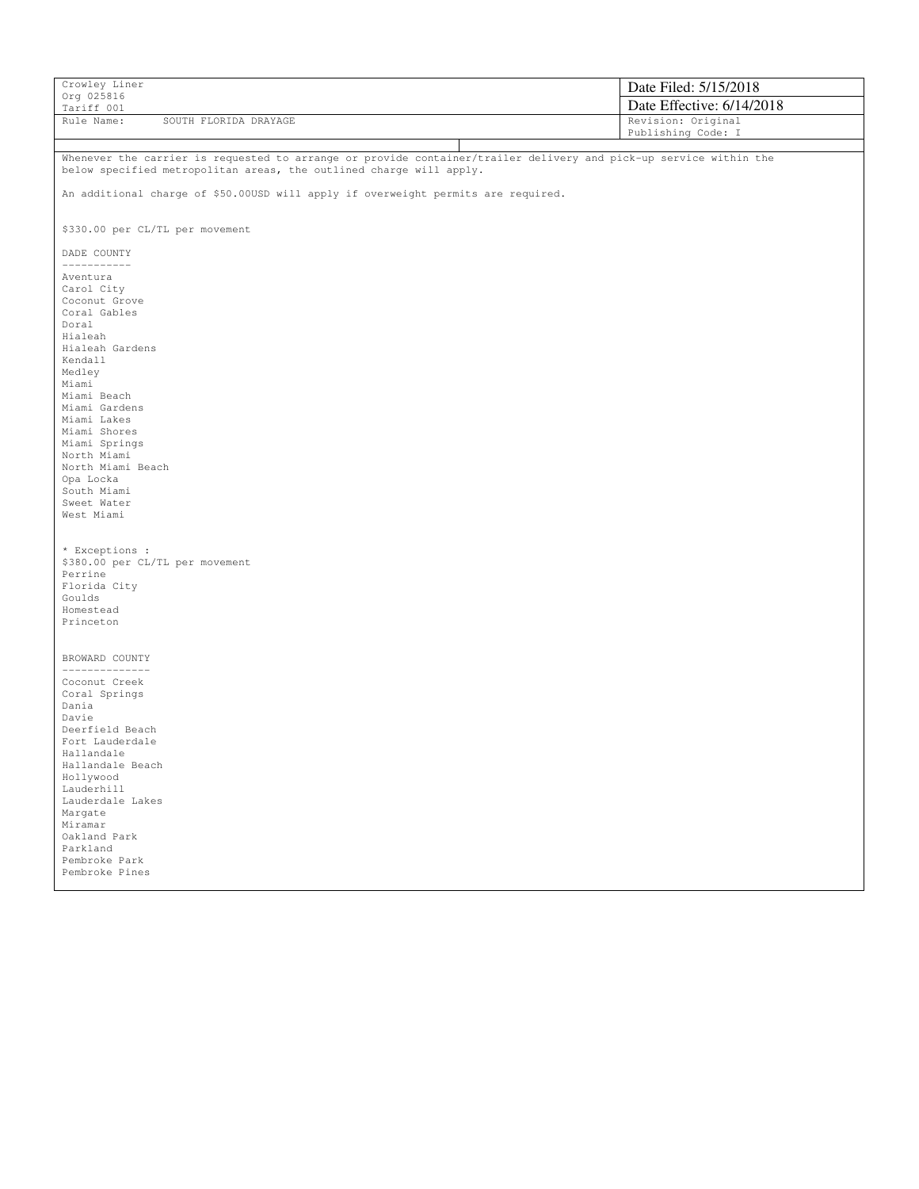| Crowley Liner                                                                                                     | Date Filed: 5/15/2018     |
|-------------------------------------------------------------------------------------------------------------------|---------------------------|
| Org 025816<br>Tariff 001                                                                                          | Date Effective: 6/14/2018 |
| Rule Name:<br>SOUTH FLORIDA DRAYAGE                                                                               | Revision: Original        |
|                                                                                                                   | Publishing Code: I        |
| Whenever the carrier is requested to arrange or provide container/trailer delivery and pick-up service within the |                           |
| below specified metropolitan areas, the outlined charge will apply.                                               |                           |
| An additional charge of \$50.00USD will apply if overweight permits are required.                                 |                           |
| \$330.00 per CL/TL per movement                                                                                   |                           |
| DADE COUNTY<br>-----------                                                                                        |                           |
| Aventura                                                                                                          |                           |
| Carol City<br>Coconut Grove                                                                                       |                           |
| Coral Gables                                                                                                      |                           |
| Doral                                                                                                             |                           |
| Hialeah<br>Hialeah Gardens                                                                                        |                           |
| Kendall                                                                                                           |                           |
| Medley                                                                                                            |                           |
| Miami<br>Miami Beach                                                                                              |                           |
| Miami Gardens                                                                                                     |                           |
| Miami Lakes                                                                                                       |                           |
| Miami Shores<br>Miami Springs                                                                                     |                           |
| North Miami                                                                                                       |                           |
| North Miami Beach                                                                                                 |                           |
| Opa Locka<br>South Miami                                                                                          |                           |
| Sweet Water                                                                                                       |                           |
| West Miami                                                                                                        |                           |
|                                                                                                                   |                           |
| * Exceptions :                                                                                                    |                           |
| \$380.00 per CL/TL per movement                                                                                   |                           |
| Perrine<br>Florida City                                                                                           |                           |
| Goulds                                                                                                            |                           |
| Homestead                                                                                                         |                           |
| Princeton                                                                                                         |                           |
| BROWARD COUNTY                                                                                                    |                           |
| _____________                                                                                                     |                           |
| Coconut Creek<br>Coral Springs                                                                                    |                           |
| Dania                                                                                                             |                           |
| Davie                                                                                                             |                           |
| Deerfield Beach<br>Fort Lauderdale                                                                                |                           |
| Hallandale                                                                                                        |                           |
| Hallandale Beach                                                                                                  |                           |
| Hollywood<br>Lauderhill                                                                                           |                           |
| Lauderdale Lakes                                                                                                  |                           |
| Margate                                                                                                           |                           |
| Miramar<br>Oakland Park                                                                                           |                           |
| Parkland                                                                                                          |                           |
| Pembroke Park                                                                                                     |                           |
| Pembroke Pines                                                                                                    |                           |
|                                                                                                                   |                           |